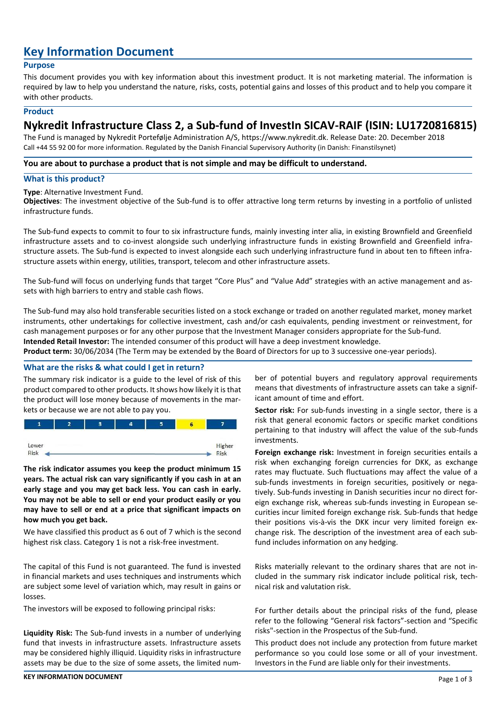# **Key Information Document**

#### **Purpose**

This document provides you with key information about this investment product. It is not marketing material. The information is required by law to help you understand the nature, risks, costs, potential gains and losses of this product and to help you compare it with other products.

#### **Product**

# **Nykredit Infrastructure Class 2, a Sub-fund of InvestIn SICAV-RAIF (ISIN: LU1720816815)**

The Fund is managed by Nykredit Portefølje Administration A/S, https://www.nykredit.dk. Release Date: 20. December 2018 Call +44 55 92 00 for more information. Regulated by the Danish Financial Supervisory Authority (in Danish: Finanstilsynet)

#### **You are about to purchase a product that is not simple and may be difficult to understand.**

### **What is this product?**

#### **Type**: Alternative Investment Fund.

**Objectives**: The investment objective of the Sub-fund is to offer attractive long term returns by investing in a portfolio of unlisted infrastructure funds.

The Sub-fund expects to commit to four to six infrastructure funds, mainly investing inter alia, in existing Brownfield and Greenfield infrastructure assets and to co-invest alongside such underlying infrastructure funds in existing Brownfield and Greenfield infrastructure assets. The Sub-fund is expected to invest alongside each such underlying infrastructure fund in about ten to fifteen infrastructure assets within energy, utilities, transport, telecom and other infrastructure assets.

The Sub-fund will focus on underlying funds that target "Core Plus" and "Value Add" strategies with an active management and assets with high barriers to entry and stable cash flows.

The Sub-fund may also hold transferable securities listed on a stock exchange or traded on another regulated market, money market instruments, other undertakings for collective investment, cash and/or cash equivalents, pending investment or reinvestment, for cash management purposes or for any other purpose that the Investment Manager considers appropriate for the Sub-fund.

**Intended Retail Investor:** The intended consumer of this product will have a deep investment knowledge.

**Product term:** 30/06/2034 (The Term may be extended by the Board of Directors for up to 3 successive one-year periods).

# **What are the risks & what could I get in return?**

The summary risk indicator is a guide to the level of risk of this product compared to other products. It shows how likely it is that the product will lose money because of movements in the markets or because we are not able to pay you.



**The risk indicator assumes you keep the product minimum 15 years. The actual risk can vary significantly if you cash in at an early stage and you may get back less. You can cash in early. You may not be able to sell or end your product easily or you may have to sell or end at a price that significant impacts on how much you get back.**

We have classified this product as 6 out of 7 which is the second highest risk class. Category 1 is not a risk-free investment.

The capital of this Fund is not guaranteed. The fund is invested in financial markets and uses techniques and instruments which are subject some level of variation which, may result in gains or losses.

The investors will be exposed to following principal risks:

**Liquidity Risk:** The Sub-fund invests in a number of underlying fund that invests in infrastructure assets. Infrastructure assets may be considered highly illiquid. Liquidity risks in infrastructure assets may be due to the size of some assets, the limited number of potential buyers and regulatory approval requirements means that divestments of infrastructure assets can take a significant amount of time and effort.

**Sector risk:** For sub-funds investing in a single sector, there is a risk that general economic factors or specific market conditions pertaining to that industry will affect the value of the sub-funds investments.

**Foreign exchange risk:** Investment in foreign securities entails a risk when exchanging foreign currencies for DKK, as exchange rates may fluctuate. Such fluctuations may affect the value of a sub-funds investments in foreign securities, positively or negatively. Sub-funds investing in Danish securities incur no direct foreign exchange risk, whereas sub-funds investing in European securities incur limited foreign exchange risk. Sub-funds that hedge their positions vis-à-vis the DKK incur very limited foreign exchange risk. The description of the investment area of each subfund includes information on any hedging.

Risks materially relevant to the ordinary shares that are not included in the summary risk indicator include political risk, technical risk and valutation risk.

For further details about the principal risks of the fund, please refer to the following "General risk factors"-section and "Specific risks"-section in the Prospectus of the Sub-fund.

This product does not include any protection from future market performance so you could lose some or all of your investment. Investors in the Fund are liable only for their investments.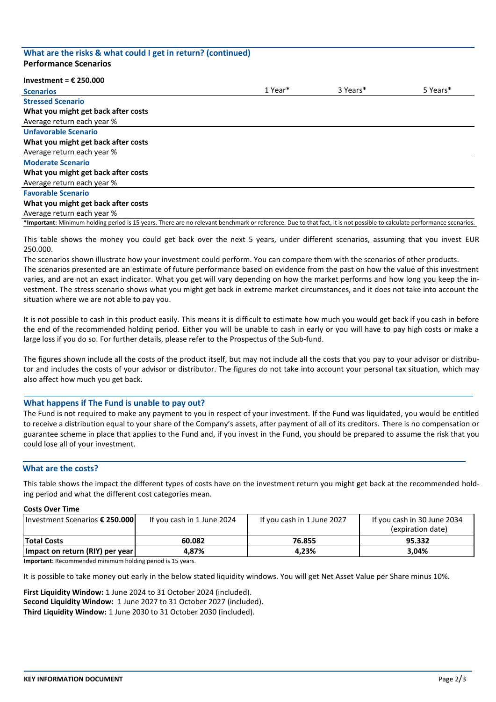#### **What are the risks & what could I get in return? (continued) Performance Scenarios**

#### **Investment = € 250.000**

| <b>Scenarios</b>                                                                                                                                                       | 1 Year* | 3 Years* | 5 Years* |
|------------------------------------------------------------------------------------------------------------------------------------------------------------------------|---------|----------|----------|
| <b>Stressed Scenario</b>                                                                                                                                               |         |          |          |
| What you might get back after costs                                                                                                                                    |         |          |          |
| Average return each year %                                                                                                                                             |         |          |          |
| <b>Unfavorable Scenario</b>                                                                                                                                            |         |          |          |
| What you might get back after costs                                                                                                                                    |         |          |          |
| Average return each year %                                                                                                                                             |         |          |          |
| <b>Moderate Scenario</b>                                                                                                                                               |         |          |          |
| What you might get back after costs                                                                                                                                    |         |          |          |
| Average return each year %                                                                                                                                             |         |          |          |
| <b>Favorable Scenario</b>                                                                                                                                              |         |          |          |
| What you might get back after costs                                                                                                                                    |         |          |          |
| Average return each year %                                                                                                                                             |         |          |          |
| *Important: Minimum holding period is 15 years. There are no relevant benchmark or reference. Due to that fact, it is not possible to calculate performance scenarios. |         |          |          |

This table shows the money you could get back over the next 5 years, under different scenarios, assuming that you invest EUR 250.000.

The scenarios shown illustrate how your investment could perform. You can compare them with the scenarios of other products. The scenarios presented are an estimate of future performance based on evidence from the past on how the value of this investment varies, and are not an exact indicator. What you get will vary depending on how the market performs and how long you keep the investment. The stress scenario shows what you might get back in extreme market circumstances, and it does not take into account the situation where we are not able to pay you.

It is not possible to cash in this product easily. This means it is difficult to estimate how much you would get back if you cash in before the end of the recommended holding period. Either you will be unable to cash in early or you will have to pay high costs or make a large loss if you do so. For further details, please refer to the Prospectus of the Sub-fund.

The figures shown include all the costs of the product itself, but may not include all the costs that you pay to your advisor or distributor and includes the costs of your advisor or distributor. The figures do not take into account your personal tax situation, which may also affect how much you get back.

#### **What happens if The Fund is unable to pay out?**

The Fund is not required to make any payment to you in respect of your investment. If the Fund was liquidated, you would be entitled to receive a distribution equal to your share of the Company's assets, after payment of all of its creditors. There is no compensation or guarantee scheme in place that applies to the Fund and, if you invest in the Fund, you should be prepared to assume the risk that you could lose all of your investment.

#### **What are the costs?**

This table shows the impact the different types of costs have on the investment return you might get back at the recommended holding period and what the different cost categories mean.

#### **Costs Over Time**

| Investment Scenarios € 250.000  | If you cash in 1 June 2024 | If you cash in 1 June 2027 | If you cash in 30 June 2034<br>(expiration date) |
|---------------------------------|----------------------------|----------------------------|--------------------------------------------------|
| <b>Total Costs</b>              | 60.082                     | 76.855                     | 95.332                                           |
| Impact on return (RIY) per year | 4.87%                      | 4.23%                      | 3.04%                                            |

**Important**: Recommended minimum holding period is 15 years.

It is possible to take money out early in the below stated liquidity windows. You will get Net Asset Value per Share minus 10%.

**First Liquidity Window:** 1 June 2024 to 31 October 2024 (included). **Second Liquidity Window:** 1 June 2027 to 31 October 2027 (included). **Third Liquidity Window:** 1 June 2030 to 31 October 2030 (included).